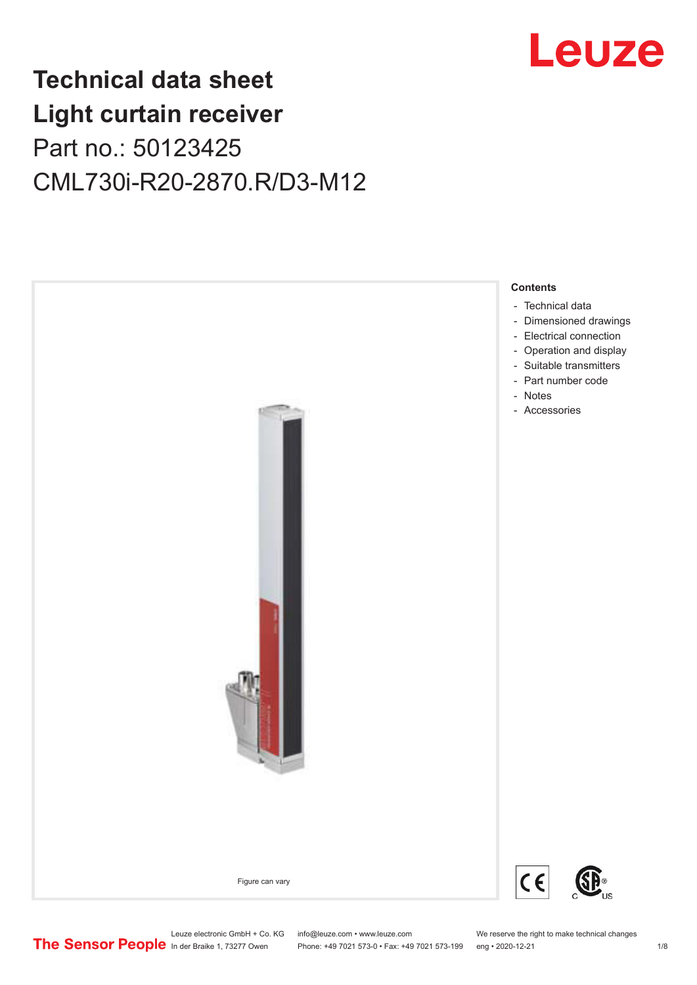

## **Technical data sheet Light curtain receiver** Part no.: 50123425 CML730i-R20-2870.R/D3-M12



Phone: +49 7021 573-0 • Fax: +49 7021 573-199 eng • 2020-12-21 1 2020-12-21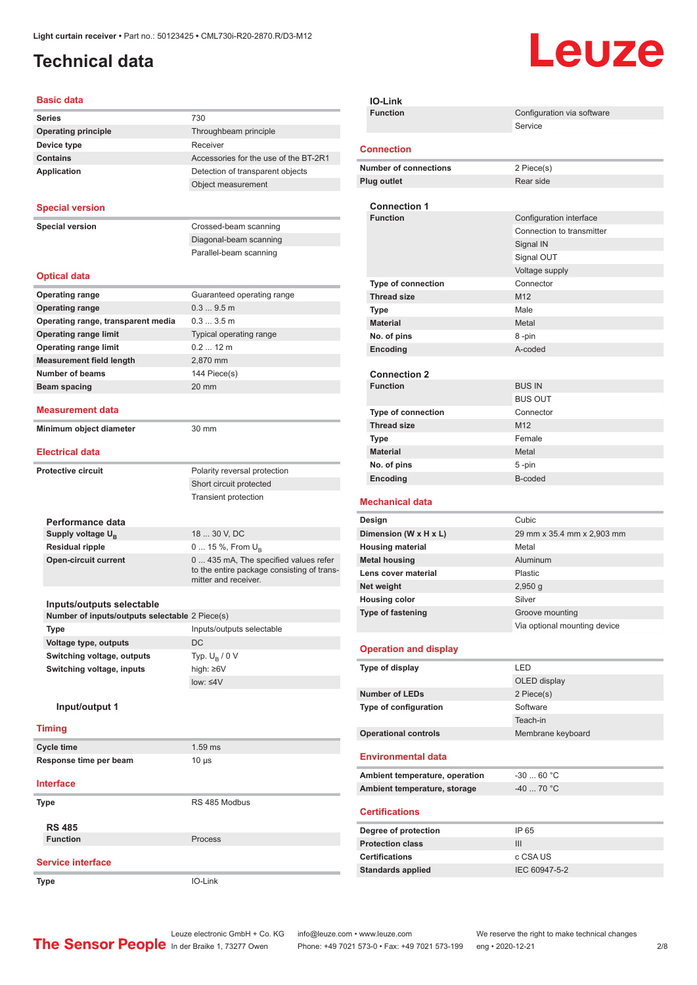### <span id="page-1-0"></span>**Technical data**

# Leuze

#### **Basic data**

| שמש טוכשע                                                                   |                                                                    |
|-----------------------------------------------------------------------------|--------------------------------------------------------------------|
| <b>Series</b>                                                               | 730                                                                |
| <b>Operating principle</b>                                                  | Throughbeam principle                                              |
| Device type                                                                 | Receiver                                                           |
| <b>Contains</b>                                                             | Accessories for the use of the BT-2R1                              |
| <b>Application</b>                                                          | Detection of transparent objects                                   |
|                                                                             | Object measurement                                                 |
| <b>Special version</b>                                                      |                                                                    |
|                                                                             |                                                                    |
| <b>Special version</b>                                                      | Crossed-beam scanning                                              |
|                                                                             | Diagonal-beam scanning                                             |
|                                                                             | Parallel-beam scanning                                             |
| <b>Optical data</b>                                                         |                                                                    |
| <b>Operating range</b>                                                      | Guaranteed operating range                                         |
| <b>Operating range</b>                                                      | 0.39.5m                                                            |
| Operating range, transparent media                                          | 0.33.5m                                                            |
| <b>Operating range limit</b>                                                | Typical operating range                                            |
| <b>Operating range limit</b>                                                | $0.212$ m                                                          |
| <b>Measurement field length</b>                                             | 2,870 mm                                                           |
| <b>Number of beams</b>                                                      | 144 Piece(s)                                                       |
| <b>Beam spacing</b>                                                         | 20 mm                                                              |
| <b>Measurement data</b>                                                     |                                                                    |
| Minimum object diameter                                                     | 30 mm                                                              |
| <b>Electrical data</b>                                                      |                                                                    |
| <b>Protective circuit</b>                                                   | Polarity reversal protection                                       |
|                                                                             | Short circuit protected                                            |
|                                                                             | <b>Transient protection</b>                                        |
|                                                                             |                                                                    |
| Performance data                                                            |                                                                    |
| Supply voltage $U_{\rm B}$                                                  | 18  30 V, DC                                                       |
| <b>Residual ripple</b>                                                      | 0  15 %, From $U_{\rm B}$                                          |
| <b>Open-circuit current</b>                                                 | 0 435 mA, The specified values refer                               |
|                                                                             | to the entire package consisting of trans-<br>mitter and receiver. |
|                                                                             |                                                                    |
| Inputs/outputs selectable<br>Number of inputs/outputs selectable 2 Piece(s) |                                                                    |
| Type                                                                        | Inputs/outputs selectable                                          |
| Voltage type, outputs                                                       | DC                                                                 |
| Switching voltage, outputs                                                  | Typ. $U_B / 0 V$                                                   |
| Switching voltage, inputs                                                   | high: ≥6V                                                          |
|                                                                             | low: < 4V                                                          |
| Input/output 1                                                              |                                                                    |
| <b>Timing</b>                                                               |                                                                    |
|                                                                             |                                                                    |
| <b>Cycle time</b>                                                           | $1.59$ ms                                                          |
| Response time per beam                                                      | $10 \mu s$                                                         |
| <b>Interface</b>                                                            |                                                                    |
| <b>Type</b>                                                                 | RS 485 Modbus                                                      |
| <b>RS 485</b>                                                               |                                                                    |
| <b>Function</b>                                                             | Process                                                            |
|                                                                             |                                                                    |
| <b>Service interface</b>                                                    |                                                                    |
| <b>Type</b>                                                                 | IO-Link                                                            |

| <b>IO-Link</b>                         |                              |
|----------------------------------------|------------------------------|
| <b>Function</b>                        | Configuration via software   |
|                                        | Service                      |
| <b>Connection</b>                      |                              |
|                                        |                              |
| <b>Number of connections</b>           | 2 Piece(s)                   |
| Plug outlet                            | Rear side                    |
| <b>Connection 1</b>                    |                              |
| <b>Function</b>                        | Configuration interface      |
|                                        | Connection to transmitter    |
|                                        | Signal IN                    |
|                                        | Signal OUT                   |
|                                        | Voltage supply               |
| <b>Type of connection</b>              | Connector                    |
| <b>Thread size</b>                     | M12                          |
| Type                                   | Male                         |
| <b>Material</b>                        | Metal                        |
| No. of pins                            | 8-pin                        |
| Encoding                               | A-coded                      |
|                                        |                              |
| <b>Connection 2</b><br><b>Function</b> | <b>BUS IN</b>                |
|                                        | <b>BUS OUT</b>               |
| <b>Type of connection</b>              | Connector                    |
| <b>Thread size</b>                     | M <sub>12</sub>              |
| <b>Type</b>                            | Female                       |
| <b>Material</b>                        | Metal                        |
| No. of pins                            | 5-pin                        |
| Encoding                               | B-coded                      |
|                                        |                              |
|                                        |                              |
| <b>Mechanical data</b>                 |                              |
| Design                                 | Cubic                        |
| Dimension (W x H x L)                  | 29 mm x 35.4 mm x 2,903 mm   |
| <b>Housing material</b>                | Metal                        |
| <b>Metal housing</b>                   | Aluminum                     |
| Lens cover material                    | Plastic                      |
| Net weight                             | $2,950$ g                    |
| <b>Housing color</b>                   | Silver                       |
| Type of fastening                      | Groove mounting              |
|                                        | Via optional mounting device |
| <b>Operation and display</b>           |                              |
| Type of display                        | LED                          |
|                                        | OLED display                 |
| <b>Number of LEDs</b>                  | 2 Piece(s)                   |
| Type of configuration                  | Software                     |
|                                        | Teach-in                     |
| <b>Operational controls</b>            | Membrane keyboard            |
| <b>Environmental data</b>              |                              |
|                                        | $-30$ 60 °C                  |
| Ambient temperature, operation         |                              |
| Ambient temperature, storage           | -40  70 °C                   |
| <b>Certifications</b>                  |                              |
| Degree of protection                   | IP 65                        |
| <b>Protection class</b>                | III                          |
| <b>Certifications</b>                  | c CSA US                     |
| <b>Standards applied</b>               | IEC 60947-5-2                |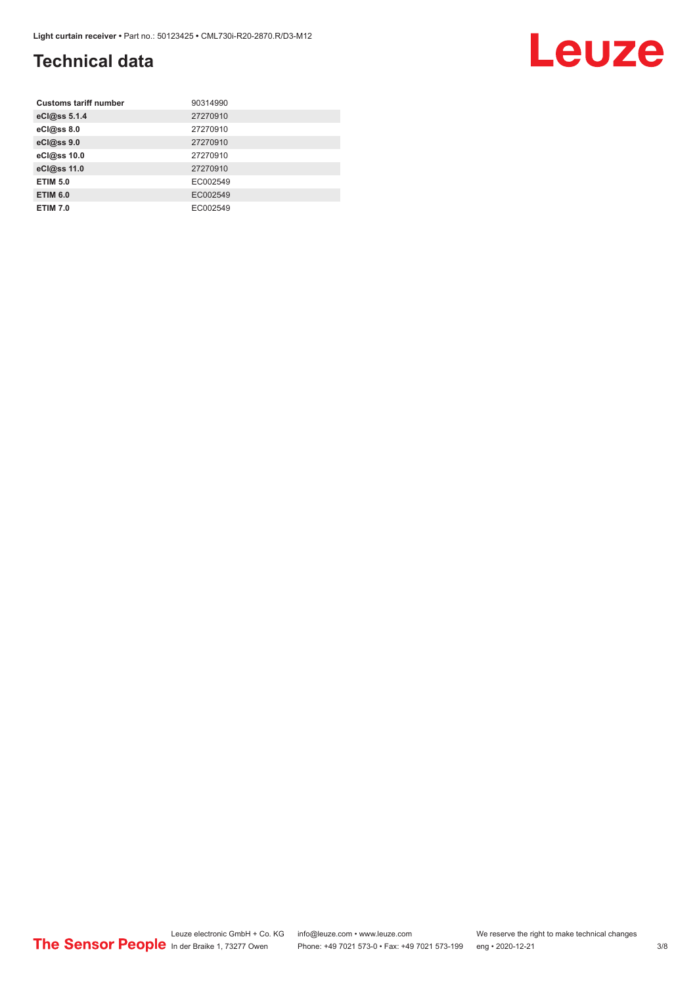### **Technical data**

| <b>Customs tariff number</b> | 90314990 |
|------------------------------|----------|
| eCl@ss 5.1.4                 | 27270910 |
| eCl@ss 8.0                   | 27270910 |
| eCl@ss 9.0                   | 27270910 |
| eCl@ss 10.0                  | 27270910 |
| eCl@ss 11.0                  | 27270910 |
| <b>ETIM 5.0</b>              | EC002549 |
| <b>ETIM 6.0</b>              | EC002549 |
| <b>ETIM 7.0</b>              | EC002549 |

#### Leuze electronic GmbH + Co. KG info@leuze.com • www.leuze.com We reserve the right to make technical changes ln der Braike 1, 73277 Owen Phone: +49 7021 573-0 • Fax: +49 7021 573-199 eng • 2020-12-21 3/8

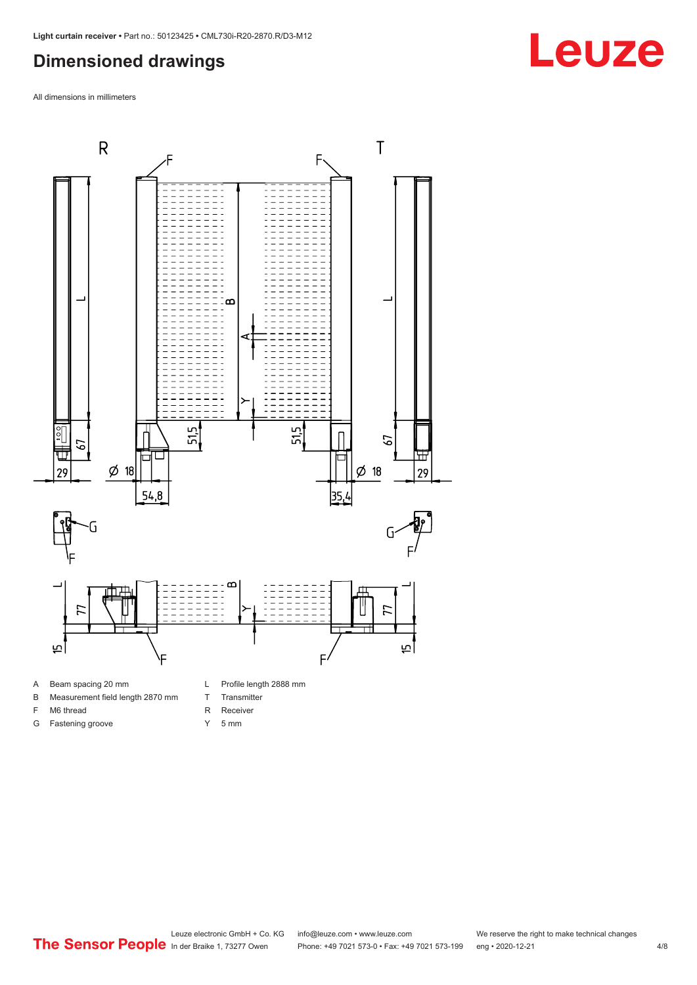#### <span id="page-3-0"></span>**Dimensioned drawings**

All dimensions in millimeters



- 
- B Measurement field length 2870 mm
- F M6 thread

G Fastening groove

- 
- R Receiver
- Y 5 mm

T Transmitter

**Leuze**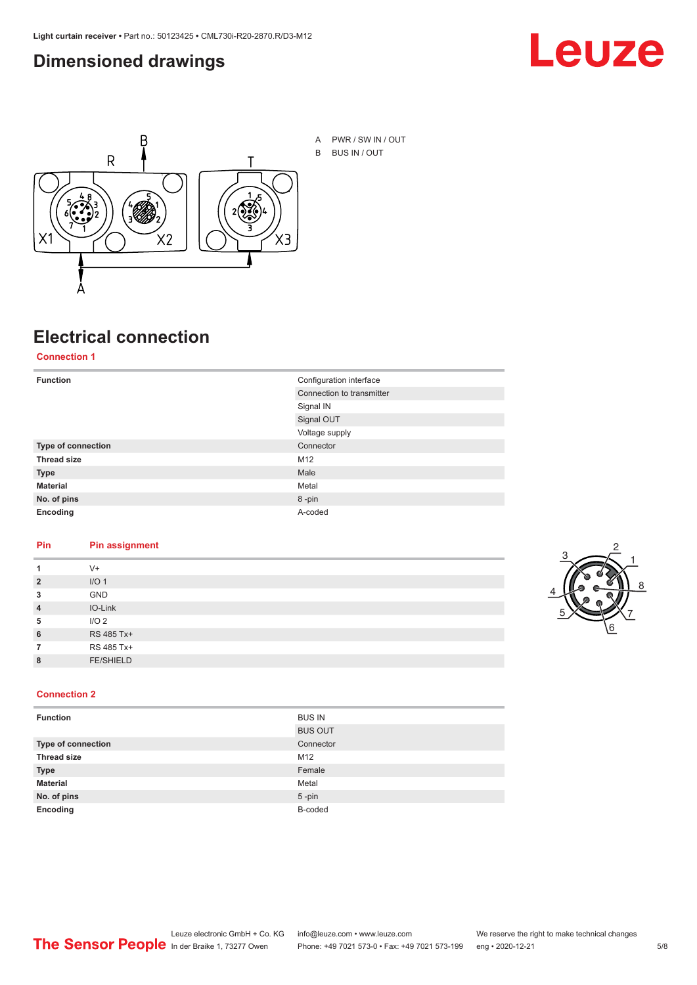#### <span id="page-4-0"></span>**Dimensioned drawings**





A PWR / SW IN / OUT B BUS IN / OUT

### **Electrical connection**

**Connection 1**

| <b>Function</b>    | Configuration interface   |
|--------------------|---------------------------|
|                    | Connection to transmitter |
|                    | Signal IN                 |
|                    | Signal OUT                |
|                    | Voltage supply            |
| Type of connection | Connector                 |
| <b>Thread size</b> | M12                       |
| <b>Type</b>        | Male                      |
| <b>Material</b>    | Metal                     |
| No. of pins        | 8-pin                     |
| Encoding           | A-coded                   |

#### **Pin Pin assignment**

| 1              | $V +$            |  |  |
|----------------|------------------|--|--|
| $\overline{2}$ | I/O <sub>1</sub> |  |  |
| 3              | <b>GND</b>       |  |  |
| $\overline{4}$ | IO-Link          |  |  |
| 5              | I/O <sub>2</sub> |  |  |
| 6              | RS 485 Tx+       |  |  |
| 7              | RS 485 Tx+       |  |  |
| 8              | <b>FE/SHIELD</b> |  |  |
|                |                  |  |  |



#### **Connection 2**

| <b>Function</b>    | <b>BUS IN</b>  |
|--------------------|----------------|
|                    | <b>BUS OUT</b> |
| Type of connection | Connector      |
| <b>Thread size</b> | M12            |
| <b>Type</b>        | Female         |
| <b>Material</b>    | Metal          |
| No. of pins        | $5$ -pin       |
| Encoding           | B-coded        |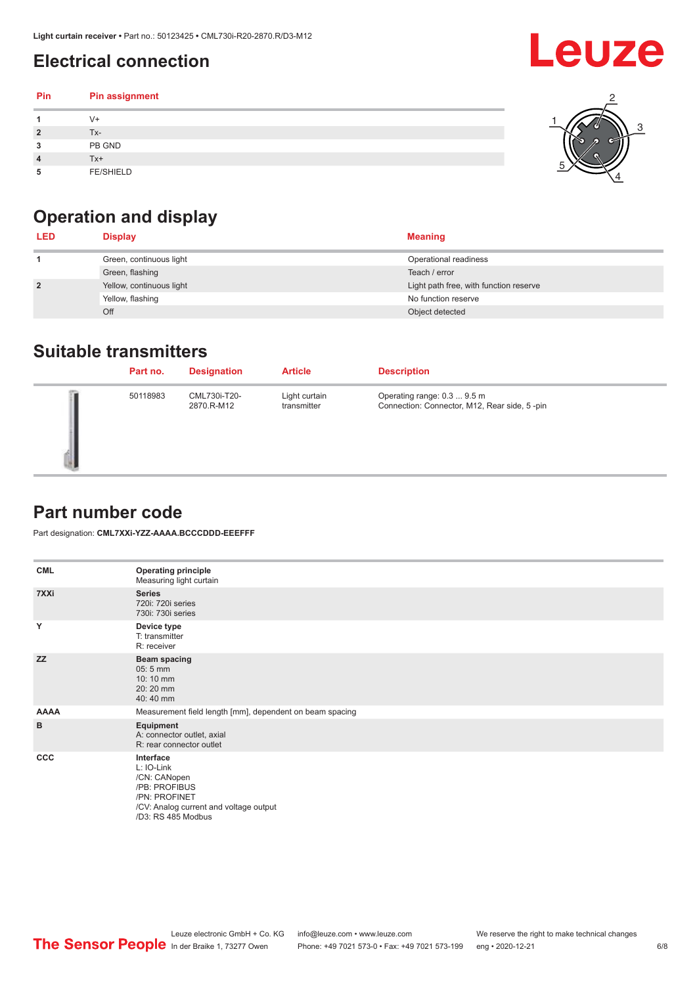### <span id="page-5-0"></span>**Electrical connection**

| Pin | Pin assignment   |  |
|-----|------------------|--|
|     | V+               |  |
| ∍   | Tx-              |  |
| 3   | PB GND           |  |
|     | Tx+              |  |
| 5   | <b>FE/SHIELD</b> |  |

### **Operation and display**

| <b>LED</b>     | <b>Display</b>           | <b>Meaning</b>                         |
|----------------|--------------------------|----------------------------------------|
|                | Green, continuous light  | Operational readiness                  |
|                | Green, flashing          | Teach / error                          |
| $\overline{2}$ | Yellow, continuous light | Light path free, with function reserve |
|                | Yellow, flashing         | No function reserve                    |
|                | Off                      | Object detected                        |

#### **Suitable transmitters**

| Part no. | <b>Designation</b>         | <b>Article</b>               | <b>Description</b>                                                          |
|----------|----------------------------|------------------------------|-----------------------------------------------------------------------------|
| 50118983 | CML730i-T20-<br>2870.R-M12 | Light curtain<br>transmitter | Operating range: 0.3  9.5 m<br>Connection: Connector, M12, Rear side, 5-pin |

#### **Part number code**

Part designation: **CML7XXi-YZZ-AAAA.BCCCDDD-EEEFFF**

| <b>CML</b>  | <b>Operating principle</b><br>Measuring light curtain                                                                                     |
|-------------|-------------------------------------------------------------------------------------------------------------------------------------------|
| 7XXi        | <b>Series</b><br>720i: 720i series<br>730i: 730i series                                                                                   |
| Y           | Device type<br>T: transmitter<br>R: receiver                                                                                              |
| <b>ZZ</b>   | <b>Beam spacing</b><br>$05:5$ mm<br>10:10 mm<br>20:20 mm<br>40:40 mm                                                                      |
| <b>AAAA</b> | Measurement field length [mm], dependent on beam spacing                                                                                  |
| B           | Equipment<br>A: connector outlet, axial<br>R: rear connector outlet                                                                       |
| CCC         | Interface<br>L: IO-Link<br>/CN: CANopen<br>/PB: PROFIBUS<br>/PN: PROFINET<br>/CV: Analog current and voltage output<br>/D3: RS 485 Modbus |

**Leuze**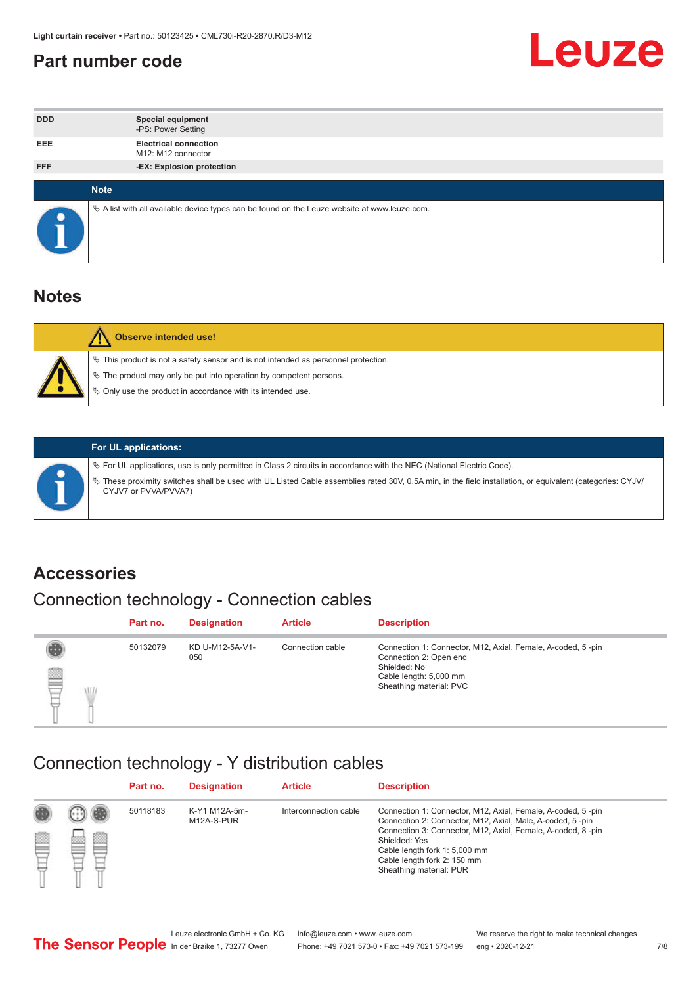#### <span id="page-6-0"></span>**Part number code**



| <b>DDD</b> | <b>Special equipment</b><br>-PS: Power Setting                                                    |
|------------|---------------------------------------------------------------------------------------------------|
| <b>EEE</b> | <b>Electrical connection</b><br>M12: M12 connector                                                |
| <b>FFF</b> | -EX: Explosion protection                                                                         |
|            | <b>Note</b>                                                                                       |
| $\bullet$  | Vector A list with all available device types can be found on the Leuze website at www.leuze.com. |

#### **Notes**

| <b>Observe intended use!</b>                                                                                                                                                                                                  |
|-------------------------------------------------------------------------------------------------------------------------------------------------------------------------------------------------------------------------------|
| $\%$ This product is not a safety sensor and is not intended as personnel protection.<br>$\%$ The product may only be put into operation by competent persons.<br>♦ Only use the product in accordance with its intended use. |



#### **For UL applications:**

ª For UL applications, use is only permitted in Class 2 circuits in accordance with the NEC (National Electric Code). ª These proximity switches shall be used with UL Listed Cable assemblies rated 30V, 0.5A min, in the field installation, or equivalent (categories: CYJV/ CYJV7 or PVVA/PVVA7)

#### **Accessories**

### Connection technology - Connection cables

|        | Part no. | <b>Designation</b>     | <b>Article</b>   | <b>Description</b>                                                                                                                                         |
|--------|----------|------------------------|------------------|------------------------------------------------------------------------------------------------------------------------------------------------------------|
| 2<br>W | 50132079 | KD U-M12-5A-V1-<br>050 | Connection cable | Connection 1: Connector, M12, Axial, Female, A-coded, 5-pin<br>Connection 2: Open end<br>Shielded: No<br>Cable length: 5,000 mm<br>Sheathing material: PVC |

#### Connection technology - Y distribution cables

|   |   | Part no. | <b>Designation</b>          | <b>Article</b>        | <b>Description</b>                                                                                                                                                                                                                                                                                  |
|---|---|----------|-----------------------------|-----------------------|-----------------------------------------------------------------------------------------------------------------------------------------------------------------------------------------------------------------------------------------------------------------------------------------------------|
| Ø | ø | 50118183 | K-Y1 M12A-5m-<br>M12A-S-PUR | Interconnection cable | Connection 1: Connector, M12, Axial, Female, A-coded, 5-pin<br>Connection 2: Connector, M12, Axial, Male, A-coded, 5-pin<br>Connection 3: Connector, M12, Axial, Female, A-coded, 8-pin<br>Shielded: Yes<br>Cable length fork 1: 5,000 mm<br>Cable length fork 2: 150 mm<br>Sheathing material: PUR |